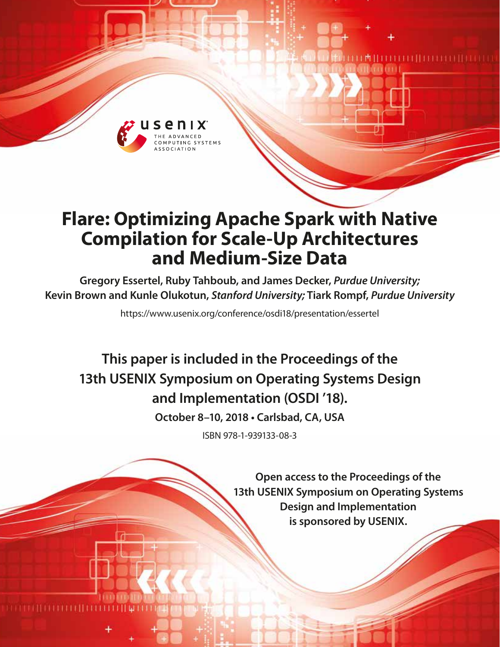

# **Flare: Optimizing Apache Spark with Native Compilation for Scale-Up Architectures and Medium-Size Data**

**Gregory Essertel, Ruby Tahboub, and James Decker,** *Purdue University;*  **Kevin Brown and Kunle Olukotun,** *Stanford University;* **Tiark Rompf,** *Purdue University*

https://www.usenix.org/conference/osdi18/presentation/essertel

**This paper is included in the Proceedings of the 13th USENIX Symposium on Operating Systems Design and Implementation (OSDI '18).**

**October 8–10, 2018 • Carlsbad, CA, USA**

ISBN 978-1-939133-08-3

**Open access to the Proceedings of the 13th USENIX Symposium on Operating Systems Design and Implementation is sponsored by USENIX.**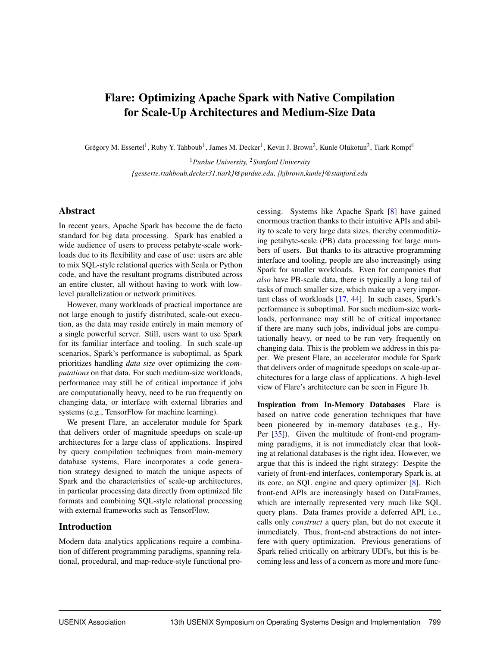### Flare: Optimizing Apache Spark with Native Compilation for Scale-Up Architectures and Medium-Size Data

Grégory M. Essertel<sup>1</sup>, Ruby Y. Tahboub<sup>1</sup>, James M. Decker<sup>1</sup>, Kevin J. Brown<sup>2</sup>, Kunle Olukotun<sup>2</sup>, Tiark Rompf<sup>1</sup>

<sup>1</sup>*Purdue University,* <sup>2</sup>*Stanford University {gesserte,rtahboub,decker31,tiark}@purdue.edu, {kjbrown,kunle}@stanford.edu*

#### Abstract

In recent years, Apache Spark has become the de facto standard for big data processing. Spark has enabled a wide audience of users to process petabyte-scale workloads due to its flexibility and ease of use: users are able to mix SQL-style relational queries with Scala or Python code, and have the resultant programs distributed across an entire cluster, all without having to work with lowlevel parallelization or network primitives.

However, many workloads of practical importance are not large enough to justify distributed, scale-out execution, as the data may reside entirely in main memory of a single powerful server. Still, users want to use Spark for its familiar interface and tooling. In such scale-up scenarios, Spark's performance is suboptimal, as Spark prioritizes handling *data size* over optimizing the *computations* on that data. For such medium-size workloads, performance may still be of critical importance if jobs are computationally heavy, need to be run frequently on changing data, or interface with external libraries and systems (e.g., TensorFlow for machine learning).

We present Flare, an accelerator module for Spark that delivers order of magnitude speedups on scale-up architectures for a large class of applications. Inspired by query compilation techniques from main-memory database systems, Flare incorporates a code generation strategy designed to match the unique aspects of Spark and the characteristics of scale-up architectures, in particular processing data directly from optimized file formats and combining SQL-style relational processing with external frameworks such as TensorFlow.

#### Introduction

Modern data analytics applications require a combination of different programming paradigms, spanning relational, procedural, and map-reduce-style functional processing. Systems like Apache Spark [\[8\]](#page-15-0) have gained enormous traction thanks to their intuitive APIs and ability to scale to very large data sizes, thereby commoditizing petabyte-scale (PB) data processing for large numbers of users. But thanks to its attractive programming interface and tooling, people are also increasingly using Spark for smaller workloads. Even for companies that *also* have PB-scale data, there is typically a long tail of tasks of much smaller size, which make up a very important class of workloads [\[17,](#page-15-1) [44\]](#page-16-0). In such cases, Spark's performance is suboptimal. For such medium-size workloads, performance may still be of critical importance if there are many such jobs, individual jobs are computationally heavy, or need to be run very frequently on changing data. This is the problem we address in this paper. We present Flare, an accelerator module for Spark that delivers order of magnitude speedups on scale-up architectures for a large class of applications. A high-level view of Flare's architecture can be seen in Figure [1b](#page-2-0).

Inspiration from In-Memory Databases Flare is based on native code generation techniques that have been pioneered by in-memory databases (e.g., Hy-Per [\[35\]](#page-16-1)). Given the multitude of front-end programming paradigms, it is not immediately clear that looking at relational databases is the right idea. However, we argue that this is indeed the right strategy: Despite the variety of front-end interfaces, contemporary Spark is, at its core, an SQL engine and query optimizer [\[8\]](#page-15-0). Rich front-end APIs are increasingly based on DataFrames, which are internally represented very much like SQL query plans. Data frames provide a deferred API, i.e., calls only *construct* a query plan, but do not execute it immediately. Thus, front-end abstractions do not interfere with query optimization. Previous generations of Spark relied critically on arbitrary UDFs, but this is becoming less and less of a concern as more and more func-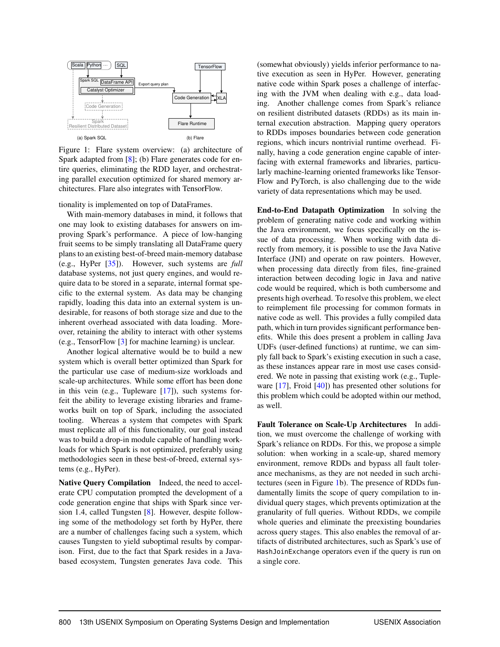

<span id="page-2-0"></span>Figure 1: Flare system overview: (a) architecture of Spark adapted from [\[8\]](#page-15-0); (b) Flare generates code for entire queries, eliminating the RDD layer, and orchestrating parallel execution optimized for shared memory architectures. Flare also integrates with TensorFlow.

tionality is implemented on top of DataFrames.

With main-memory databases in mind, it follows that one may look to existing databases for answers on improving Spark's performance. A piece of low-hanging fruit seems to be simply translating all DataFrame query plans to an existing best-of-breed main-memory database (e.g., HyPer [\[35\]](#page-16-1)). However, such systems are *full* database systems, not just query engines, and would require data to be stored in a separate, internal format specific to the external system. As data may be changing rapidly, loading this data into an external system is undesirable, for reasons of both storage size and due to the inherent overhead associated with data loading. Moreover, retaining the ability to interact with other systems (e.g., TensorFlow [\[3\]](#page-14-0) for machine learning) is unclear.

Another logical alternative would be to build a new system which is overall better optimized than Spark for the particular use case of medium-size workloads and scale-up architectures. While some effort has been done in this vein (e.g., Tupleware  $[17]$ ), such systems forfeit the ability to leverage existing libraries and frameworks built on top of Spark, including the associated tooling. Whereas a system that competes with Spark must replicate all of this functionality, our goal instead was to build a drop-in module capable of handling workloads for which Spark is not optimized, preferably using methodologies seen in these best-of-breed, external systems (e.g., HyPer).

Native Query Compilation Indeed, the need to accelerate CPU computation prompted the development of a code generation engine that ships with Spark since version 1.4, called Tungsten [\[8\]](#page-15-0). However, despite following some of the methodology set forth by HyPer, there are a number of challenges facing such a system, which causes Tungsten to yield suboptimal results by comparison. First, due to the fact that Spark resides in a Javabased ecosystem, Tungsten generates Java code. This (somewhat obviously) yields inferior performance to native execution as seen in HyPer. However, generating native code within Spark poses a challenge of interfacing with the JVM when dealing with e.g., data loading. Another challenge comes from Spark's reliance on resilient distributed datasets (RDDs) as its main internal execution abstraction. Mapping query operators to RDDs imposes boundaries between code generation regions, which incurs nontrivial runtime overhead. Finally, having a code generation engine capable of interfacing with external frameworks and libraries, particularly machine-learning oriented frameworks like Tensor-Flow and PyTorch, is also challenging due to the wide variety of data representations which may be used.

End-to-End Datapath Optimization In solving the problem of generating native code and working within the Java environment, we focus specifically on the issue of data processing. When working with data directly from memory, it is possible to use the Java Native Interface (JNI) and operate on raw pointers. However, when processing data directly from files, fine-grained interaction between decoding logic in Java and native code would be required, which is both cumbersome and presents high overhead. To resolve this problem, we elect to reimplement file processing for common formats in native code as well. This provides a fully compiled data path, which in turn provides significant performance benefits. While this does present a problem in calling Java UDFs (user-defined functions) at runtime, we can simply fall back to Spark's existing execution in such a case, as these instances appear rare in most use cases considered. We note in passing that existing work (e.g., Tupleware [\[17\]](#page-15-1), Froid [\[40\]](#page-16-2)) has presented other solutions for this problem which could be adopted within our method, as well.

Fault Tolerance on Scale-Up Architectures In addition, we must overcome the challenge of working with Spark's reliance on RDDs. For this, we propose a simple solution: when working in a scale-up, shared memory environment, remove RDDs and bypass all fault tolerance mechanisms, as they are not needed in such architectures (seen in Figure [1b](#page-2-0)). The presence of RDDs fundamentally limits the scope of query compilation to individual query stages, which prevents optimization at the granularity of full queries. Without RDDs, we compile whole queries and eliminate the preexisting boundaries across query stages. This also enables the removal of artifacts of distributed architectures, such as Spark's use of HashJoinExchange operators even if the query is run on a single core.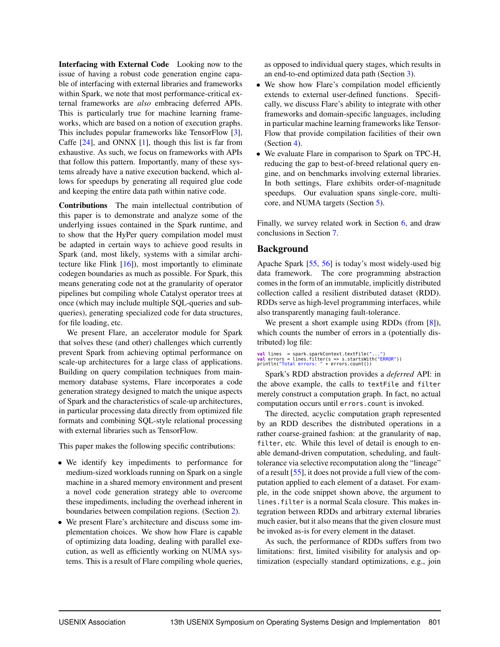Interfacing with External Code Looking now to the issue of having a robust code generation engine capable of interfacing with external libraries and frameworks within Spark, we note that most performance-critical external frameworks are *also* embracing deferred APIs. This is particularly true for machine learning frameworks, which are based on a notion of execution graphs. This includes popular frameworks like TensorFlow [\[3\]](#page-14-0), Caffe  $[24]$ , and ONNX  $[1]$ , though this list is far from exhaustive. As such, we focus on frameworks with APIs that follow this pattern. Importantly, many of these systems already have a native execution backend, which allows for speedups by generating all required glue code and keeping the entire data path within native code.

Contributions The main intellectual contribution of this paper is to demonstrate and analyze some of the underlying issues contained in the Spark runtime, and to show that the HyPer query compilation model must be adapted in certain ways to achieve good results in Spark (and, most likely, systems with a similar architecture like Flink  $[16]$ , most importantly to eliminate codegen boundaries as much as possible. For Spark, this means generating code not at the granularity of operator pipelines but compiling whole Catalyst operator trees at once (which may include multiple SQL-queries and subqueries), generating specialized code for data structures, for file loading, etc.

We present Flare, an accelerator module for Spark that solves these (and other) challenges which currently prevent Spark from achieving optimal performance on scale-up architectures for a large class of applications. Building on query compilation techniques from mainmemory database systems, Flare incorporates a code generation strategy designed to match the unique aspects of Spark and the characteristics of scale-up architectures, in particular processing data directly from optimized file formats and combining SQL-style relational processing with external libraries such as TensorFlow.

This paper makes the following specific contributions:

- We identify key impediments to performance for medium-sized workloads running on Spark on a single machine in a shared memory environment and present a novel code generation strategy able to overcome these impediments, including the overhead inherent in boundaries between compilation regions. (Section [2\)](#page-3-0).
- We present Flare's architecture and discuss some implementation choices. We show how Flare is capable of optimizing data loading, dealing with parallel execution, as well as efficiently working on NUMA systems. This is a result of Flare compiling whole queries,

as opposed to individual query stages, which results in an end-to-end optimized data path (Section [3\)](#page-6-0).

- We show how Flare's compilation model efficiently extends to external user-defined functions. Specifically, we discuss Flare's ability to integrate with other frameworks and domain-specific languages, including in particular machine learning frameworks like Tensor-Flow that provide compilation facilities of their own (Section [4\)](#page-9-0).
- We evaluate Flare in comparison to Spark on TPC-H, reducing the gap to best-of-breed relational query engine, and on benchmarks involving external libraries. In both settings, Flare exhibits order-of-magnitude speedups. Our evaluation spans single-core, multicore, and NUMA targets (Section [5\)](#page-10-0).

Finally, we survey related work in Section [6,](#page-13-0) and draw conclusions in Section [7.](#page-14-2)

#### <span id="page-3-0"></span>Background

Apache Spark [\[55,](#page-17-0) [56\]](#page-17-1) is today's most widely-used big data framework. The core programming abstraction comes in the form of an immutable, implicitly distributed collection called a resilient distributed dataset (RDD). RDDs serve as high-level programming interfaces, while also transparently managing fault-tolerance.

We present a short example using RDDs (from  $[8]$ ), which counts the number of errors in a (potentially distributed) log file:

## **val** lines = spark.sparkContext.textFile("...")<br>val errors = lines.filter(s => s.startsWith("ERROR"))<br>println("Total errors: " + errors.count())

Spark's RDD abstraction provides a *deferred* API: in the above example, the calls to textFile and filter merely construct a computation graph. In fact, no actual computation occurs until errors.count is invoked.

The directed, acyclic computation graph represented by an RDD describes the distributed operations in a rather coarse-grained fashion: at the granularity of map, filter, etc. While this level of detail is enough to enable demand-driven computation, scheduling, and faulttolerance via selective recomputation along the "lineage" of a result [\[55\]](#page-17-0), it does not provide a full view of the computation applied to each element of a dataset. For example, in the code snippet shown above, the argument to lines.filter is a normal Scala closure. This makes integration between RDDs and arbitrary external libraries much easier, but it also means that the given closure must be invoked as-is for every element in the dataset.

As such, the performance of RDDs suffers from two limitations: first, limited visibility for analysis and optimization (especially standard optimizations, e.g., join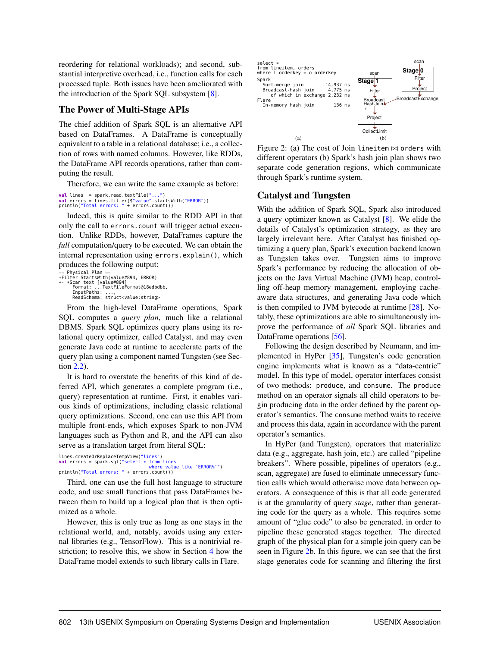reordering for relational workloads); and second, substantial interpretive overhead, i.e., function calls for each processed tuple. Both issues have been ameliorated with the introduction of the Spark SQL subsystem [\[8\]](#page-15-0).

#### <span id="page-4-2"></span>The Power of Multi-Stage APIs

The chief addition of Spark SQL is an alternative API based on DataFrames. A DataFrame is conceptually equivalent to a table in a relational database; i.e., a collection of rows with named columns. However, like RDDs, the DataFrame API records operations, rather than computing the result.

Therefore, we can write the same example as before:

**val** lines = spark.read.textFile("...")<br>val errors = lines.filter(\$"value".startsWith("ERROR"))<br>println("Total errors: " + errors.count())

Indeed, this is quite similar to the RDD API in that only the call to errors.count will trigger actual execution. Unlike RDDs, however, DataFrames capture the *full* computation/query to be executed. We can obtain the internal representation using errors.explain(), which produces the following output:

```
.<br>== Physical Plan ==
*Filter StartsWith(value#894, ERROR)
+- *Scan text [value#894]
Format: ...TextFileFormat@18edbdbb,
InputPaths: ...,
ReadSchema: struct<value:string>
```
From the high-level DataFrame operations, Spark SQL computes a *query plan*, much like a relational DBMS. Spark SQL optimizes query plans using its relational query optimizer, called Catalyst, and may even generate Java code at runtime to accelerate parts of the query plan using a component named Tungsten (see Section [2.2\)](#page-4-0).

It is hard to overstate the benefits of this kind of deferred API, which generates a complete program (i.e., query) representation at runtime. First, it enables various kinds of optimizations, including classic relational query optimizations. Second, one can use this API from multiple front-ends, which exposes Spark to non-JVM languages such as Python and R, and the API can also serve as a translation target from literal SQL:

lines.createOrReplaceTempView("lines") **val** errors = spark.sql("select \* from lines<br>where value value like 'ERROR%'") println("Total errors: " + errors.count())

Third, one can use the full host language to structure code, and use small functions that pass DataFrames between them to build up a logical plan that is then optimized as a whole.

However, this is only true as long as one stays in the relational world, and, notably, avoids using any external libraries (e.g., TensorFlow). This is a nontrivial restriction; to resolve this, we show in Section [4](#page-9-0) how the DataFrame model extends to such library calls in Flare.



<span id="page-4-1"></span>Figure 2: (a) The cost of Join lineitem  $\bowtie$  orders with different operators (b) Spark's hash join plan shows two separate code generation regions, which communicate through Spark's runtime system.

#### <span id="page-4-0"></span>Catalyst and Tungsten

With the addition of Spark SQL, Spark also introduced a query optimizer known as Catalyst [\[8\]](#page-15-0). We elide the details of Catalyst's optimization strategy, as they are largely irrelevant here. After Catalyst has finished optimizing a query plan, Spark's execution backend known as Tungsten takes over. Tungsten aims to improve Spark's performance by reducing the allocation of objects on the Java Virtual Machine (JVM) heap, controlling off-heap memory management, employing cacheaware data structures, and generating Java code which is then compiled to JVM bytecode at runtime [\[28\]](#page-16-3). Notably, these optimizations are able to simultaneously improve the performance of *all* Spark SQL libraries and DataFrame operations [\[56\]](#page-17-1).

Following the design described by Neumann, and implemented in HyPer [\[35\]](#page-16-1), Tungsten's code generation engine implements what is known as a "data-centric" model. In this type of model, operator interfaces consist of two methods: produce, and consume. The produce method on an operator signals all child operators to begin producing data in the order defined by the parent operator's semantics. The consume method waits to receive and process this data, again in accordance with the parent operator's semantics.

In HyPer (and Tungsten), operators that materialize data (e.g., aggregate, hash join, etc.) are called "pipeline breakers". Where possible, pipelines of operators (e.g., scan, aggregate) are fused to eliminate unnecessary function calls which would otherwise move data between operators. A consequence of this is that all code generated is at the granularity of query *stage*, rather than generating code for the query as a whole. This requires some amount of "glue code" to also be generated, in order to pipeline these generated stages together. The directed graph of the physical plan for a simple join query can be seen in Figure [2b](#page-4-1). In this figure, we can see that the first stage generates code for scanning and filtering the first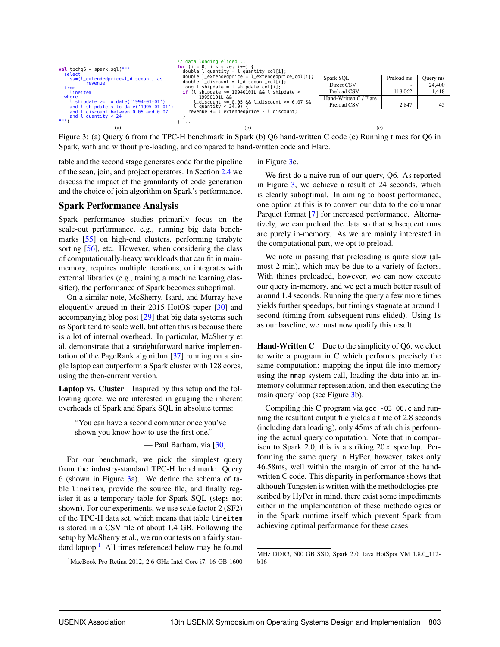

<span id="page-5-0"></span>Figure 3: (a) Query 6 from the TPC-H benchmark in Spark (b) Q6 hand-written C code (c) Running times for Q6 in Spark, with and without pre-loading, and compared to hand-written code and Flare.

table and the second stage generates code for the pipeline of the scan, join, and project operators. In Section [2.4](#page-6-1) we discuss the impact of the granularity of code generation and the choice of join algorithm on Spark's performance.

#### <span id="page-5-2"></span>Spark Performance Analysis

Spark performance studies primarily focus on the scale-out performance, e.g., running big data benchmarks [\[55\]](#page-17-0) on high-end clusters, performing terabyte sorting [\[56\]](#page-17-1), etc. However, when considering the class of computationally-heavy workloads that can fit in mainmemory, requires multiple iterations, or integrates with external libraries (e.g., training a machine learning classifier), the performance of Spark becomes suboptimal.

On a similar note, McSherry, Isard, and Murray have eloquently argued in their 2015 HotOS paper [\[30\]](#page-16-4) and accompanying blog post [\[29\]](#page-16-5) that big data systems such as Spark tend to scale well, but often this is because there is a lot of internal overhead. In particular, McSherry et al. demonstrate that a straightforward native implementation of the PageRank algorithm [\[37\]](#page-16-6) running on a single laptop can outperform a Spark cluster with 128 cores, using the then-current version.

Laptop vs. Cluster Inspired by this setup and the following quote, we are interested in gauging the inherent overheads of Spark and Spark SQL in absolute terms:

"You can have a second computer once you've shown you know how to use the first one."

— Paul Barham, via [\[30\]](#page-16-4)

For our benchmark, we pick the simplest query from the industry-standard TPC-H benchmark: Query 6 (shown in Figure [3a](#page-5-0)). We define the schema of table lineitem, provide the source file, and finally register it as a temporary table for Spark SQL (steps not shown). For our experiments, we use scale factor 2 (SF2) of the TPC-H data set, which means that table lineitem is stored in a CSV file of about 1.4 GB. Following the setup by McSherry et al., we run our tests on a fairly standard laptop. $<sup>1</sup>$  $<sup>1</sup>$  $<sup>1</sup>$  All times referenced below may be found</sup>

#### in Figure [3c](#page-5-0).

We first do a naive run of our query, Q6. As reported in Figure [3,](#page-5-0) we achieve a result of 24 seconds, which is clearly suboptimal. In aiming to boost performance, one option at this is to convert our data to the columnar Parquet format [\[7\]](#page-15-4) for increased performance. Alternatively, we can preload the data so that subsequent runs are purely in-memory. As we are mainly interested in the computational part, we opt to preload.

We note in passing that preloading is quite slow (almost 2 min), which may be due to a variety of factors. With things preloaded, however, we can now execute our query in-memory, and we get a much better result of around 1.4 seconds. Running the query a few more times yields further speedups, but timings stagnate at around 1 second (timing from subsequent runs elided). Using 1s as our baseline, we must now qualify this result.

**Hand-Written C** Due to the simplicity of  $Q6$ , we elect to write a program in C which performs precisely the same computation: mapping the input file into memory using the mmap system call, loading the data into an inmemory columnar representation, and then executing the main query loop (see Figure [3b](#page-5-0)).

Compiling this C program via gcc -03 Q6.c and running the resultant output file yields a time of 2.8 seconds (including data loading), only 45ms of which is performing the actual query computation. Note that in comparison to Spark 2.0, this is a striking  $20 \times$  speedup. Performing the same query in HyPer, however, takes only 46.58ms, well within the margin of error of the handwritten C code. This disparity in performance shows that although Tungsten is written with the methodologies prescribed by HyPer in mind, there exist some impediments either in the implementation of these methodologies or in the Spark runtime itself which prevent Spark from achieving optimal performance for these cases.

<span id="page-5-1"></span><sup>&</sup>lt;sup>1</sup>MacBook Pro Retina 2012, 2.6 GHz Intel Core i7, 16 GB 1600

MHz DDR3, 500 GB SSD, Spark 2.0, Java HotSpot VM 1.8.0\_112 b16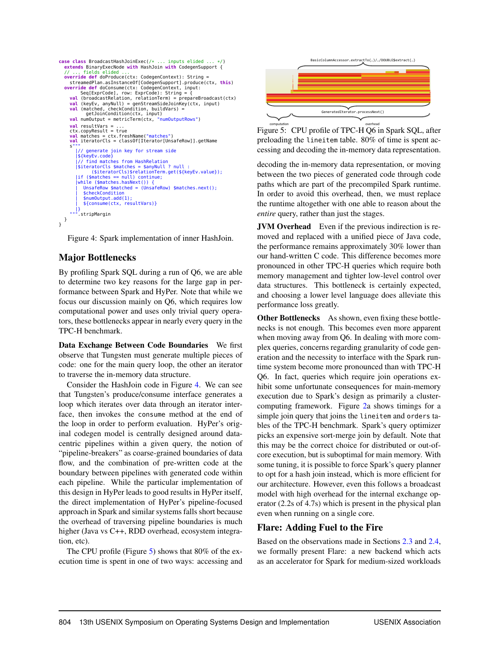```
case class BroadcastHashJoinExec(/* ... inputs elided ...
   extends BinaryExecNode with HashJoin with CodegenSupport {<br>// ... fields elided ...
    // ... fields elided ...
override def doProduce(ctx: CodegenContext): String =
      streamedPlan.asInstanceOf[CodegenSupport].produce(ctx, this)
    override def doConsume(ctx: CodegenContext, input:<br>Seq[ExprCode], row: ExprCode): String = {<br>val (broadcastRelation, relationTerm) = prepareBroadcast(ctx)<br>val (keyEv, anyNull) = genStreamSideJoinKey(ctx, input)
       val (matched, checkCondition, buildVars) =
getJoinCondition(ctx, input)
val numOutput = metricTerm(ctx, "numOutputRows")
       val resultVars = ...
ctx.copyResult = true
       val matches = ctx.freshName("matches")
val iteratorCls = classOf[Iterator[UnsafeRow]].getName
       s"""
|// generate join key for stream side
|${keyEv.code}
            |// find matches from HashRelation
          |$iteratorCls $matches = $anyNull ? null :
($iteratorCls)$relationTerm.get(${keyEv.value});
          |if ($matches == null) continue;
          |while ($matches.hasNext()) {
| UnsafeRow $matched = (UnsafeRow) $matches.next();
              | $checkCondition
                   numOutput.add(1);
              | ${consume(ctx, resultVars)}
       |}
""".stripMargin
}
}
```
<span id="page-6-2"></span>Figure 4: Spark implementation of inner HashJoin.

#### <span id="page-6-1"></span>Major Bottlenecks

By profiling Spark SQL during a run of Q6, we are able to determine two key reasons for the large gap in performance between Spark and HyPer. Note that while we focus our discussion mainly on Q6, which requires low computational power and uses only trivial query operators, these bottlenecks appear in nearly every query in the TPC-H benchmark.

Data Exchange Between Code Boundaries We first observe that Tungsten must generate multiple pieces of code: one for the main query loop, the other an iterator to traverse the in-memory data structure.

Consider the HashJoin code in Figure [4.](#page-6-2) We can see that Tungsten's produce/consume interface generates a loop which iterates over data through an iterator interface, then invokes the consume method at the end of the loop in order to perform evaluation. HyPer's original codegen model is centrally designed around datacentric pipelines within a given query, the notion of "pipeline-breakers" as coarse-grained boundaries of data flow, and the combination of pre-written code at the boundary between pipelines with generated code within each pipeline. While the particular implementation of this design in HyPer leads to good results in HyPer itself, the direct implementation of HyPer's pipeline-focused approach in Spark and similar systems falls short because the overhead of traversing pipeline boundaries is much higher (Java vs C++, RDD overhead, ecosystem integration, etc).

The CPU profile (Figure [5\)](#page-6-3) shows that 80% of the execution time is spent in one of two ways: accessing and



<span id="page-6-3"></span>Figure 5: CPU profile of TPC-H Q6 in Spark SQL, after preloading the lineitem table. 80% of time is spent accessing and decoding the in-memory data representation.

decoding the in-memory data representation, or moving between the two pieces of generated code through code paths which are part of the precompiled Spark runtime. In order to avoid this overhead, then, we must replace the runtime altogether with one able to reason about the *entire* query, rather than just the stages.

JVM Overhead Even if the previous indirection is removed and replaced with a unified piece of Java code, the performance remains approximately 30% lower than our hand-written C code. This difference becomes more pronounced in other TPC-H queries which require both memory management and tighter low-level control over data structures. This bottleneck is certainly expected, and choosing a lower level language does alleviate this performance loss greatly.

Other Bottlenecks As shown, even fixing these bottlenecks is not enough. This becomes even more apparent when moving away from Q6. In dealing with more complex queries, concerns regarding granularity of code generation and the necessity to interface with the Spark runtime system become more pronounced than with TPC-H Q6. In fact, queries which require join operations exhibit some unfortunate consequences for main-memory execution due to Spark's design as primarily a clustercomputing framework. Figure [2a](#page-4-1) shows timings for a simple join query that joins the lineitem and orders tables of the TPC-H benchmark. Spark's query optimizer picks an expensive sort-merge join by default. Note that this may be the correct choice for distributed or out-ofcore execution, but is suboptimal for main memory. With some tuning, it is possible to force Spark's query planner to opt for a hash join instead, which is more efficient for our architecture. However, even this follows a broadcast model with high overhead for the internal exchange operator (2.2s of 4.7s) which is present in the physical plan even when running on a single core.

#### <span id="page-6-0"></span>Flare: Adding Fuel to the Fire

Based on the observations made in Sections [2.3](#page-5-2) and [2.4,](#page-6-1) we formally present Flare: a new backend which acts as an accelerator for Spark for medium-sized workloads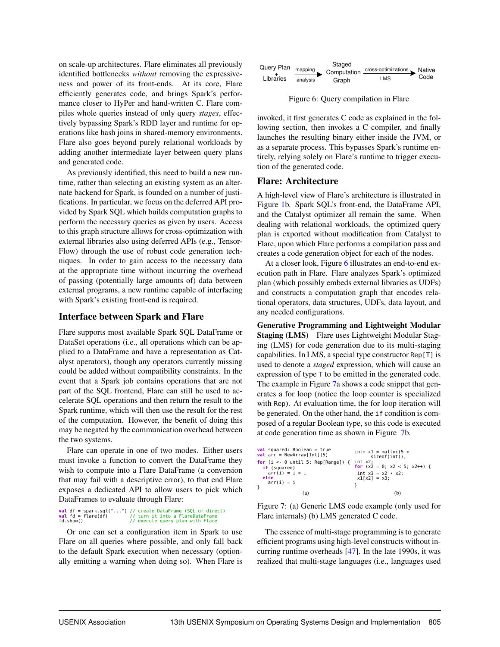on scale-up architectures. Flare eliminates all previously identified bottlenecks *without* removing the expressiveness and power of its front-ends. At its core, Flare efficiently generates code, and brings Spark's performance closer to HyPer and hand-written C. Flare compiles whole queries instead of only query *stages*, effectively bypassing Spark's RDD layer and runtime for operations like hash joins in shared-memory environments. Flare also goes beyond purely relational workloads by adding another intermediate layer between query plans and generated code.

As previously identified, this need to build a new runtime, rather than selecting an existing system as an alternate backend for Spark, is founded on a number of justifications. In particular, we focus on the deferred API provided by Spark SQL which builds computation graphs to perform the necessary queries as given by users. Access to this graph structure allows for cross-optimization with external libraries also using deferred APIs (e.g., Tensor-Flow) through the use of robust code generation techniques. In order to gain access to the necessary data at the appropriate time without incurring the overhead of passing (potentially large amounts of) data between external programs, a new runtime capable of interfacing with Spark's existing front-end is required.

#### Interface between Spark and Flare

Flare supports most available Spark SQL DataFrame or DataSet operations (i.e., all operations which can be applied to a DataFrame and have a representation as Catalyst operators), though any operators currently missing could be added without compatibility constraints. In the event that a Spark job contains operations that are not part of the SQL frontend, Flare can still be used to accelerate SQL operations and then return the result to the Spark runtime, which will then use the result for the rest of the computation. However, the benefit of doing this may be negated by the communication overhead between the two systems.

Flare can operate in one of two modes. Either users must invoke a function to convert the DataFrame they wish to compute into a Flare DataFrame (a conversion that may fail with a descriptive error), to that end Flare exposes a dedicated API to allow users to pick which DataFrames to evaluate through Flare:

### **val** df = spark.sql("...") // create DataFrame (SQL or direct) **val** fd = flare(df) // turn it into a FlareDataFrame fd.show() // execute query plan with Flare

Or one can set a configuration item in Spark to use Flare on all queries where possible, and only fall back to the default Spark execution when necessary (optionally emitting a warning when doing so). When Flare is



<span id="page-7-0"></span>Figure 6: Query compilation in Flare

invoked, it first generates C code as explained in the following section, then invokes a C compiler, and finally launches the resulting binary either inside the JVM, or as a separate process. This bypasses Spark's runtime entirely, relying solely on Flare's runtime to trigger execution of the generated code.

#### <span id="page-7-2"></span>Flare: Architecture

A high-level view of Flare's architecture is illustrated in Figure [1b](#page-2-0). Spark SQL's front-end, the DataFrame API, and the Catalyst optimizer all remain the same. When dealing with relational workloads, the optimized query plan is exported without modification from Catalyst to Flare, upon which Flare performs a compilation pass and creates a code generation object for each of the nodes.

At a closer look, Figure [6](#page-7-0) illustrates an end-to-end execution path in Flare. Flare analyzes Spark's optimized plan (which possibly embeds external libraries as UDFs) and constructs a computation graph that encodes relational operators, data structures, UDFs, data layout, and any needed configurations.

Generative Programming and Lightweight Modular Staging (LMS) Flare uses Lightweight Modular Staging (LMS) for code generation due to its multi-staging capabilities. In LMS, a special type constructor Rep[T] is used to denote a *staged* expression, which will cause an expression of type T to be emitted in the generated code. The example in Figure [7a](#page-7-1) shows a code snippet that generates a for loop (notice the loop counter is specialized with Rep). At evaluation time, the for loop iteration will be generated. On the other hand, the if condition is composed of a regular Boolean type, so this code is executed at code generation time as shown in Figure [7b](#page-7-1).

| $val$ squared: Boolean = true<br>val $arr = NewArray[Int](5)$ | $int* x1 =$ malloc(5 $*$<br>$sizeof(int))$ ; |
|---------------------------------------------------------------|----------------------------------------------|
| for $(i \leq 0$ until 5: Rep[Range]) {                        | int x2:<br>for $(x2 = 0; x2 < 5; x2++)$ {    |
| if (squared)<br>$arr(i) = i * i$                              | int $x3 = x2 * x2$ ;                         |
| else<br>$arr(i) = i$                                          | $x1[x2] = x3$ :                              |
|                                                               |                                              |
| (a)                                                           | (b)                                          |

<span id="page-7-1"></span>Figure 7: (a) Generic LMS code example (only used for Flare internals) (b) LMS generated C code.

The essence of multi-stage programming is to generate efficient programs using high-level constructs without incurring runtime overheads [\[47\]](#page-16-7). In the late 1990s, it was realized that multi-stage languages (i.e., languages used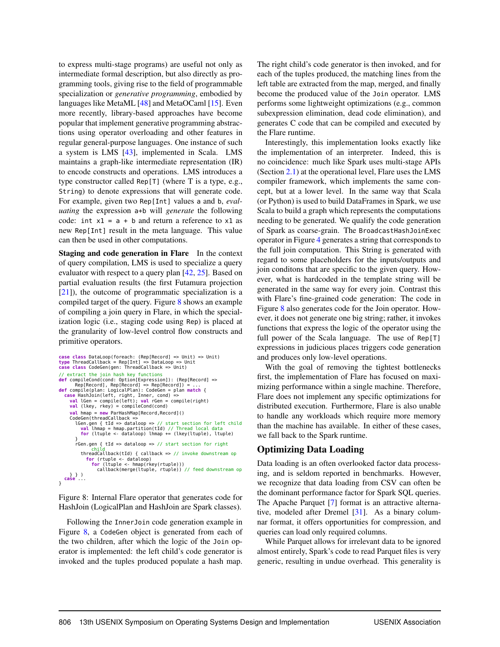to express multi-stage programs) are useful not only as intermediate formal description, but also directly as programming tools, giving rise to the field of programmable specialization or *generative programming*, embodied by languages like MetaML [\[48\]](#page-16-8) and MetaOCaml [\[15\]](#page-15-5). Even more recently, library-based approaches have become popular that implement generative programming abstractions using operator overloading and other features in regular general-purpose languages. One instance of such a system is LMS [\[43\]](#page-16-9), implemented in Scala. LMS maintains a graph-like intermediate representation (IR) to encode constructs and operations. LMS introduces a type constructor called Rep[T] (where T is a type, e.g., String) to denote expressions that will generate code. For example, given two Rep[Int] values a and b, *evaluating* the expression a+b will *generate* the following code: int  $x1 = a + b$  and return a reference to  $x1$  as new Rep[Int] result in the meta language. This value can then be used in other computations.

Staging and code generation in Flare In the context of query compilation, LMS is used to specialize a query evaluator with respect to a query plan [\[42,](#page-16-10) [25\]](#page-15-6). Based on partial evaluation results (the first Futamura projection [\[21\]](#page-15-7)), the outcome of programmatic specialization is a compiled target of the query. Figure [8](#page-8-0) shows an example of compiling a join query in Flare, in which the specialization logic (i.e., staging code using Rep) is placed at the granularity of low-level control flow constructs and primitive operators.

```
case class DataLoop(foreach: (Rep[Record] => Unit) => Unit)
type ThreadCallback = Rep[Int] => DataLoop => Unit
case class CodeGen(gen: ThreadCallback => Unit)
// extract the join hash key functions<br>def compileCond(cond: Option[Expression]): (Rep[Record] =><br>Rep[Record], Rep[Record] => Rep[Record]) = ...<br>def compile(plan: LogicalPlan): CodeGen = plan match {<br>case HashJoin(left, ri
       val hmap = new ParHashMap[Record,Record]()
       CodeGen(threadCallback =>
lGen.gen { tId => dataloop => // start section for left child
val lhmap = hmap.partition(tId) // Thread local data
for (ltuple <- dataloop) lhmap += (lkey(ltuple), ltuple)
           }
rGen.gen { tId => dataloop => // start section for right
              child
threadCallback(tId) { callback => // invoke downstream op
                  for (rtuple <- dataloop)
                     for (ltuple <- hmap(rkey(rtuple)))
                        callback(merge(ltuple, rtuple)) // feed downstream op
} } )
case ...
}
```
<span id="page-8-0"></span>Figure 8: Internal Flare operator that generates code for HashJoin (LogicalPlan and HashJoin are Spark classes).

Following the InnerJoin code generation example in Figure [8,](#page-8-0) a CodeGen object is generated from each of the two children, after which the logic of the Join operator is implemented: the left child's code generator is invoked and the tuples produced populate a hash map. The right child's code generator is then invoked, and for each of the tuples produced, the matching lines from the left table are extracted from the map, merged, and finally become the produced value of the Join operator. LMS performs some lightweight optimizations (e.g., common subexpression elimination, dead code elimination), and generates C code that can be compiled and executed by the Flare runtime.

Interestingly, this implementation looks exactly like the implementation of an interpreter. Indeed, this is no coincidence: much like Spark uses multi-stage APIs (Section [2.1\)](#page-4-2) at the operational level, Flare uses the LMS compiler framework, which implements the same concept, but at a lower level. In the same way that Scala (or Python) is used to build DataFrames in Spark, we use Scala to build a graph which represents the computations needing to be generated. We qualify the code generation of Spark as coarse-grain. The BroadcastHashJoinExec operator in Figure [4](#page-6-2) generates a string that corresponds to the full join computation. This String is generated with regard to some placeholders for the inputs/outputs and join conditons that are specific to the given query. However, what is hardcoded in the template string will be generated in the same way for every join. Contrast this with Flare's fine-grained code generation: The code in Figure [8](#page-8-0) also generates code for the Join operator. However, it does not generate one big string; rather, it invokes functions that express the logic of the operator using the full power of the Scala language. The use of Rep[T] expressions in judicious places triggers code generation and produces only low-level operations.

With the goal of removing the tightest bottlenecks first, the implementation of Flare has focused on maximizing performance within a single machine. Therefore, Flare does not implement any specific optimizations for distributed execution. Furthermore, Flare is also unable to handle any workloads which require more memory than the machine has available. In either of these cases, we fall back to the Spark runtime.

#### Optimizing Data Loading

Data loading is an often overlooked factor data processing, and is seldom reported in benchmarks. However, we recognize that data loading from CSV can often be the dominant performance factor for Spark SQL queries. The Apache Parquet [\[7\]](#page-15-4) format is an attractive alternative, modeled after Dremel [\[31\]](#page-16-11). As a binary columnar format, it offers opportunities for compression, and queries can load only required columns.

While Parquet allows for irrelevant data to be ignored almost entirely, Spark's code to read Parquet files is very generic, resulting in undue overhead. This generality is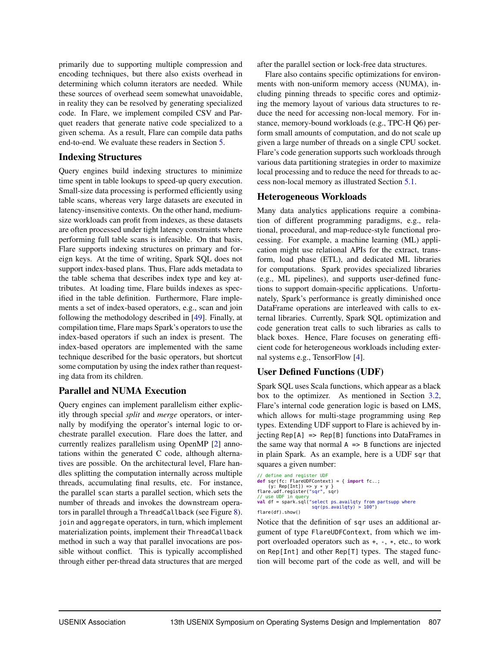primarily due to supporting multiple compression and encoding techniques, but there also exists overhead in determining which column iterators are needed. While these sources of overhead seem somewhat unavoidable, in reality they can be resolved by generating specialized code. In Flare, we implement compiled CSV and Parquet readers that generate native code specialized to a given schema. As a result, Flare can compile data paths end-to-end. We evaluate these readers in Section [5.](#page-10-0)

#### Indexing Structures

Query engines build indexing structures to minimize time spent in table lookups to speed-up query execution. Small-size data processing is performed efficiently using table scans, whereas very large datasets are executed in latency-insensitive contexts. On the other hand, mediumsize workloads can profit from indexes, as these datasets are often processed under tight latency constraints where performing full table scans is infeasible. On that basis, Flare supports indexing structures on primary and foreign keys. At the time of writing, Spark SQL does not support index-based plans. Thus, Flare adds metadata to the table schema that describes index type and key attributes. At loading time, Flare builds indexes as specified in the table definition. Furthermore, Flare implements a set of index-based operators, e.g., scan and join following the methodology described in [\[49\]](#page-16-12). Finally, at compilation time, Flare maps Spark's operators to use the index-based operators if such an index is present. The index-based operators are implemented with the same technique described for the basic operators, but shortcut some computation by using the index rather than requesting data from its children.

#### Parallel and NUMA Execution

Query engines can implement parallelism either explicitly through special *split* and *merge* operators, or internally by modifying the operator's internal logic to orchestrate parallel execution. Flare does the latter, and currently realizes parallelism using OpenMP [\[2\]](#page-14-3) annotations within the generated C code, although alternatives are possible. On the architectural level, Flare handles splitting the computation internally across multiple threads, accumulating final results, etc. For instance, the parallel scan starts a parallel section, which sets the number of threads and invokes the downstream operators in parallel through a ThreadCallback (see Figure [8\)](#page-8-0). join and aggregate operators, in turn, which implement materialization points, implement their ThreadCallback method in such a way that parallel invocations are possible without conflict. This is typically accomplished through either per-thread data structures that are merged after the parallel section or lock-free data structures.

Flare also contains specific optimizations for environments with non-uniform memory access (NUMA), including pinning threads to specific cores and optimizing the memory layout of various data structures to reduce the need for accessing non-local memory. For instance, memory-bound workloads (e.g., TPC-H Q6) perform small amounts of computation, and do not scale up given a large number of threads on a single CPU socket. Flare's code generation supports such workloads through various data partitioning strategies in order to maximize local processing and to reduce the need for threads to access non-local memory as illustrated Section [5.1.](#page-12-0)

#### <span id="page-9-0"></span>Heterogeneous Workloads

Many data analytics applications require a combination of different programming paradigms, e.g., relational, procedural, and map-reduce-style functional processing. For example, a machine learning (ML) application might use relational APIs for the extract, transform, load phase (ETL), and dedicated ML libraries for computations. Spark provides specialized libraries (e.g., ML pipelines), and supports user-defined functions to support domain-specific applications. Unfortunately, Spark's performance is greatly diminished once DataFrame operations are interleaved with calls to external libraries. Currently, Spark SQL optimization and code generation treat calls to such libraries as calls to black boxes. Hence, Flare focuses on generating efficient code for heterogeneous workloads including external systems e.g., TensorFlow [\[4\]](#page-14-4).

#### User Defined Functions (UDF)

Spark SQL uses Scala functions, which appear as a black box to the optimizer. As mentioned in Section [3.2,](#page-7-2) Flare's internal code generation logic is based on LMS, which allows for multi-stage programming using Rep types. Extending UDF support to Flare is achieved by injecting Rep[A] => Rep[B] functions into DataFrames in the same way that normal  $A \Rightarrow B$  functions are injected in plain Spark. As an example, here is a UDF sqr that squares a given number:

```
// define and register UDF
def sqr(fc: FlareUDFContext) = { import fc._;
(y: Rep[Int]) => y * y }
flare.udf.register("sqr", sqr)
// use UDF in query
val df = spark.sql("select ps_availqty from partsupp where
sqr(ps_availqty) > 100")
flare(df).show()
```
Notice that the definition of sqr uses an additional argument of type FlareUDFContext, from which we import overloaded operators such as +, -, \*, etc., to work on Rep[Int] and other Rep[T] types. The staged function will become part of the code as well, and will be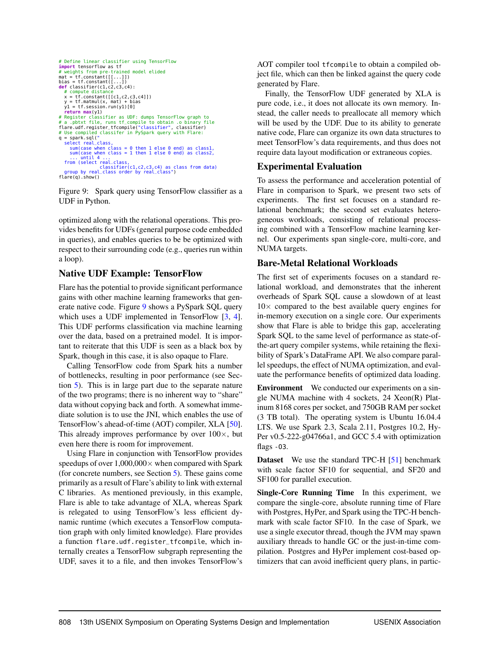```
# Define linear classifier using TensorFlow
import tensorflow as tf
# weights from pre-trained model elided
mat = tf.constant([[...]])
bias = tf.constant([...])
def classifier(c1,c2,c3,c4):
# compute distance
   x = tf.constant([c1, c2, c3, c4]])y = tf.matmul(x, mat) + bias
y1 = tf.session.run(y1)[0]
return max(y1)
# Register classifier as UDF: dumps TensorFlow graph to
# a .pbtxt file, runs tf_compile to obtain .o binary file
flare.udf.register_tfcompile("classifier", classifier)
# Use compiled classifer in PySpark query with Flare:
q = spark.sql("
    select real_class,<br>sum(case when class = 0 then 1 else 0 end) as class1,<br>sum(case when class = 1 then 1 else 0 end) as class2,<br>... until 4 ...<br>from (select real_class,
    classifier(c1,c2,c3,c4) as class from data)
group by real_class order by real_class")
flare(q).show()
```
<span id="page-10-1"></span>Figure 9: Spark query using TensorFlow classifier as a UDF in Python.

optimized along with the relational operations. This provides benefits for UDFs (general purpose code embedded in queries), and enables queries to be be optimized with respect to their surrounding code (e.g., queries run within a loop).

#### Native UDF Example: TensorFlow

Flare has the potential to provide significant performance gains with other machine learning frameworks that generate native code. Figure [9](#page-10-1) shows a PySpark SQL query which uses a UDF implemented in TensorFlow [\[3,](#page-14-0) [4\]](#page-14-4). This UDF performs classification via machine learning over the data, based on a pretrained model. It is important to reiterate that this UDF is seen as a black box by Spark, though in this case, it is also opaque to Flare.

Calling TensorFlow code from Spark hits a number of bottlenecks, resulting in poor performance (see Section [5\)](#page-10-0). This is in large part due to the separate nature of the two programs; there is no inherent way to "share" data without copying back and forth. A somewhat immediate solution is to use the JNI, which enables the use of TensorFlow's ahead-of-time (AOT) compiler, XLA [\[50\]](#page-16-13). This already improves performance by over  $100\times$ , but even here there is room for improvement.

Using Flare in conjunction with TensorFlow provides speedups of over  $1,000,000\times$  when compared with Spark (for concrete numbers, see Section [5\)](#page-10-0). These gains come primarily as a result of Flare's ability to link with external C libraries. As mentioned previously, in this example, Flare is able to take advantage of XLA, whereas Spark is relegated to using TensorFlow's less efficient dynamic runtime (which executes a TensorFlow computation graph with only limited knowledge). Flare provides a function flare.udf.register\_tfcompile, which internally creates a TensorFlow subgraph representing the UDF, saves it to a file, and then invokes TensorFlow's AOT compiler tool tfcompile to obtain a compiled object file, which can then be linked against the query code generated by Flare.

Finally, the TensorFlow UDF generated by XLA is pure code, i.e., it does not allocate its own memory. Instead, the caller needs to preallocate all memory which will be used by the UDF. Due to its ability to generate native code, Flare can organize its own data structures to meet TensorFlow's data requirements, and thus does not require data layout modification or extraneous copies.

#### <span id="page-10-0"></span>Experimental Evaluation

To assess the performance and acceleration potential of Flare in comparison to Spark, we present two sets of experiments. The first set focuses on a standard relational benchmark; the second set evaluates heterogeneous workloads, consisting of relational processing combined with a TensorFlow machine learning kernel. Our experiments span single-core, multi-core, and NUMA targets.

#### Bare-Metal Relational Workloads

The first set of experiments focuses on a standard relational workload, and demonstrates that the inherent overheads of Spark SQL cause a slowdown of at least  $10\times$  compared to the best available query engines for in-memory execution on a single core. Our experiments show that Flare is able to bridge this gap, accelerating Spark SQL to the same level of performance as state-ofthe-art query compiler systems, while retaining the flexibility of Spark's DataFrame API. We also compare parallel speedups, the effect of NUMA optimization, and evaluate the performance benefits of optimized data loading.

Environment We conducted our experiments on a single NUMA machine with 4 sockets, 24 Xeon(R) Platinum 8168 cores per socket, and 750GB RAM per socket (3 TB total). The operating system is Ubuntu 16.04.4 LTS. We use Spark 2.3, Scala 2.11, Postgres 10.2, Hy-Per v0.5-222-g04766a1, and GCC 5.4 with optimization flags - 03.

Dataset We use the standard TPC-H [\[51\]](#page-17-2) benchmark with scale factor SF10 for sequential, and SF20 and SF100 for parallel execution.

Single-Core Running Time In this experiment, we compare the single-core, absolute running time of Flare with Postgres, HyPer, and Spark using the TPC-H benchmark with scale factor SF10. In the case of Spark, we use a single executor thread, though the JVM may spawn auxiliary threads to handle GC or the just-in-time compilation. Postgres and HyPer implement cost-based optimizers that can avoid inefficient query plans, in partic-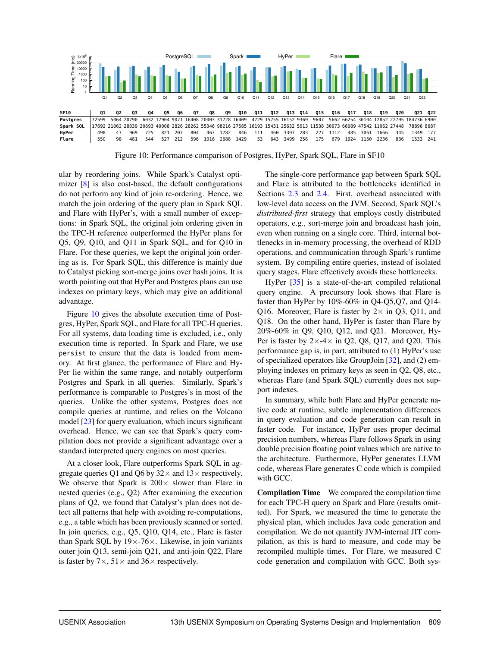

<span id="page-11-0"></span>Figure 10: Performance comparison of Postgres, HyPer, Spark SQL, Flare in SF10

ular by reordering joins. While Spark's Catalyst optimizer [\[8\]](#page-15-0) is also cost-based, the default configurations do not perform any kind of join re-ordering. Hence, we match the join ordering of the query plan in Spark SQL and Flare with HyPer's, with a small number of exceptions: in Spark SQL, the original join ordering given in the TPC-H reference outperformed the HyPer plans for Q5, Q9, Q10, and Q11 in Spark SQL, and for Q10 in Flare. For these queries, we kept the original join ordering as is. For Spark SQL, this difference is mainly due to Catalyst picking sort-merge joins over hash joins. It is worth pointing out that HyPer and Postgres plans can use indexes on primary keys, which may give an additional advantage.

Figure [10](#page-11-0) gives the absolute execution time of Postgres, HyPer, Spark SQL, and Flare for all TPC-H queries. For all systems, data loading time is excluded, i.e., only execution time is reported. In Spark and Flare, we use persist to ensure that the data is loaded from memory. At first glance, the performance of Flare and Hy-Per lie within the same range, and notably outperform Postgres and Spark in all queries. Similarly, Spark's performance is comparable to Postgres's in most of the queries. Unlike the other systems, Postgres does not compile queries at runtime, and relies on the Volcano model [\[23\]](#page-15-8) for query evaluation, which incurs significant overhead. Hence, we can see that Spark's query compilation does not provide a significant advantage over a standard interpreted query engines on most queries.

At a closer look, Flare outperforms Spark SQL in aggregate queries Q1 and Q6 by  $32\times$  and  $13\times$  respectively. We observe that Spark is  $200 \times$  slower than Flare in nested queries (e.g., Q2) After examining the execution plans of Q2, we found that Catalyst's plan does not detect all patterns that help with avoiding re-computations, e.g., a table which has been previously scanned or sorted. In join queries, e.g., Q5, Q10, Q14, etc., Flare is faster than Spark SQL by  $19 \times -76 \times$ . Likewise, in join variants outer join Q13, semi-join Q21, and anti-join Q22, Flare is faster by  $7 \times$ ,  $51 \times$  and  $36 \times$  respectively.

The single-core performance gap between Spark SQL and Flare is attributed to the bottlenecks identified in Sections [2.3](#page-5-2) and [2.4.](#page-6-1) First, overhead associated with low-level data access on the JVM. Second, Spark SQL's *distributed-first* strategy that employs costly distributed operators, e.g., sort-merge join and broadcast hash join, even when running on a single core. Third, internal bottlenecks in in-memory processing, the overhead of RDD operations, and communication through Spark's runtime system. By compiling entire queries, instead of isolated query stages, Flare effectively avoids these bottlenecks.

HyPer [\[35\]](#page-16-1) is a state-of-the-art compiled relational query engine. A precursory look shows that Flare is faster than HyPer by 10%-60% in Q4-Q5,Q7, and Q14- Q16. Moreover, Flare is faster by  $2 \times$  in Q3, Q11, and Q18. On the other hand, HyPer is faster than Flare by 20%-60% in Q9, Q10, Q12, and Q21. Moreover, Hy-Per is faster by  $2 \times -4 \times$  in Q2, Q8, Q17, and Q20. This performance gap is, in part, attributed to (1) HyPer's use of specialized operators like GroupJoin [\[32\]](#page-16-14), and (2) employing indexes on primary keys as seen in Q2, Q8, etc., whereas Flare (and Spark SQL) currently does not support indexes.

In summary, while both Flare and HyPer generate native code at runtime, subtle implementation differences in query evaluation and code generation can result in faster code. For instance, HyPer uses proper decimal precision numbers, whereas Flare follows Spark in using double precision floating point values which are native to the architecture. Furthermore, HyPer generates LLVM code, whereas Flare generates C code which is compiled with GCC.

Compilation Time We compared the compilation time for each TPC-H query on Spark and Flare (results omitted). For Spark, we measured the time to generate the physical plan, which includes Java code generation and compilation. We do not quantify JVM-internal JIT compilation, as this is hard to measure, and code may be recompiled multiple times. For Flare, we measured C code generation and compilation with GCC. Both sys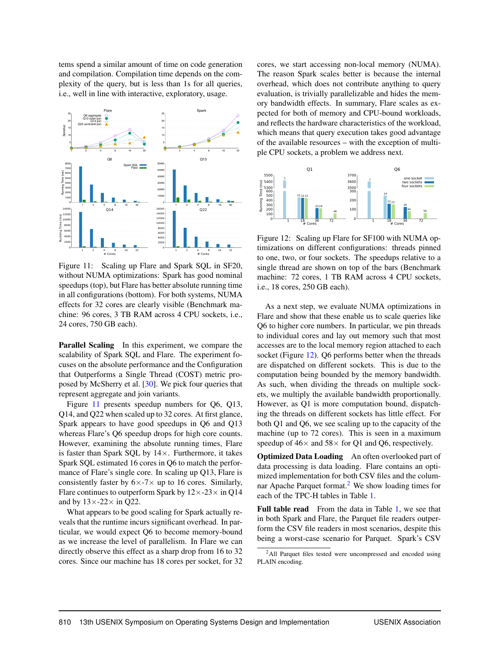tems spend a similar amount of time on code generation and compilation. Compilation time depends on the complexity of the query, but is less than 1s for all queries, i.e., well in line with interactive, exploratory, usage.



<span id="page-12-0"></span>Figure 11: Scaling up Flare and Spark SQL in SF20, without NUMA optimizations: Spark has good nominal speedups (top), but Flare has better absolute running time in all configurations (bottom). For both systems, NUMA effects for 32 cores are clearly visible (Benchmark machine: 96 cores, 3 TB RAM across 4 CPU sockets, i.e., 24 cores, 750 GB each).

Parallel Scaling In this experiment, we compare the scalability of Spark SQL and Flare. The experiment focuses on the absolute performance and the Configuration that Outperforms a Single Thread (COST) metric proposed by McSherry et al. [30]. We pick four queries that represent aggregate and join variants.

Figure 11 presents speedup numbers for  $Q6$ ,  $Q13$ , Q14, and Q22 when scaled up to 32 cores. At first glance, Spark appears to have good speedups in Q6 and Q13 whereas Flare's Q6 speedup drops for high core counts. However, examining the absolute running times, Flare is faster than Spark SQL by  $14 \times$ . Furthermore, it takes Spark SQL estimated 16 cores in Q6 to match the performance of Flare's single core. In scaling up Q13, Flare is consistently faster by  $6 \times -7 \times$  up to 16 cores. Similarly, Flare continues to outperform Spark by  $12 \times -23 \times$  in Q14 and by  $13 \times -22 \times$  in Q22.

What appears to be good scaling for Spark actually reveals that the runtime incurs significant overhead. In particular, we would expect O6 to become memory-bound as we increase the level of parallelism. In Flare we can directly observe this effect as a sharp drop from 16 to 32 cores. Since our machine has 18 cores per socket, for 32 cores, we start accessing non-local memory (NUMA). The reason Spark scales better is because the internal overhead, which does not contribute anything to query evaluation, is trivially parallelizable and hides the memory bandwidth effects. In summary, Flare scales as expected for both of memory and CPU-bound workloads, and reflects the hardware characteristics of the workload. which means that query execution takes good advantage of the available resources – with the exception of multiple CPU sockets, a problem we address next.



<span id="page-12-1"></span>Figure 12: Scaling up Flare for SF100 with NUMA optimizations on different configurations: threads pinned to one, two, or four sockets. The speedups relative to a single thread are shown on top of the bars (Benchmark machine: 72 cores, 1 TB RAM across 4 CPU sockets, i.e., 18 cores, 250 GB each).

As a next step, we evaluate NUMA optimizations in Flare and show that these enable us to scale queries like Q6 to higher core numbers. In particular, we pin threads to individual cores and lay out memory such that most accesses are to the local memory region attached to each socket (Figure 12). Q6 performs better when the threads are dispatched on different sockets. This is due to the computation being bounded by the memory bandwidth. As such, when dividing the threads on multiple sockets, we multiply the available bandwidth proportionally. However, as Q1 is more computation bound, dispatching the threads on different sockets has little effect. For both Q1 and Q6, we see scaling up to the capacity of the machine (up to 72 cores). This is seen in a maximum speedup of  $46 \times$  and  $58 \times$  for Q1 and Q6, respectively.

Optimized Data Loading An often overlooked part of data processing is data loading. Flare contains an optimized implementation for both CSV files and the columnar Apache Parquet format.<sup>2</sup> We show loading times for each of the TPC-H tables in Table 1.

**Full table read** From the data in Table 1, we see that in both Spark and Flare, the Parquet file readers outperform the CSV file readers in most scenarios, despite this being a worst-case scenario for Parquet. Spark's CSV

<span id="page-12-2"></span><sup>&</sup>lt;sup>2</sup>All Parquet files tested were uncompressed and encoded using PLAIN encoding.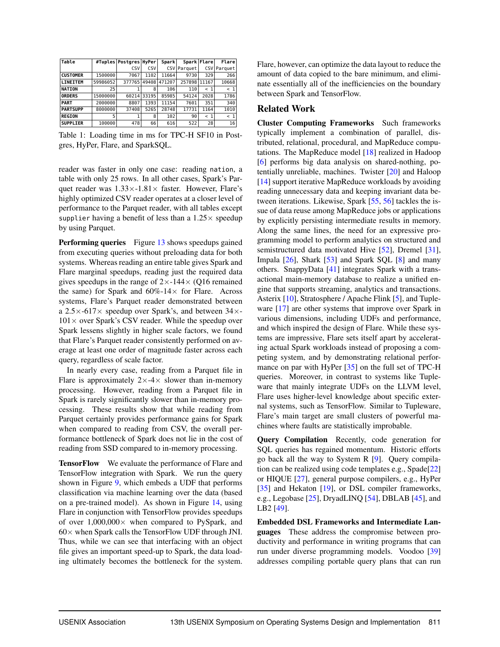| Table           | #Tuples  | Postgres   HyPer |       | Spark  |             | Spark Flare | Flare       |
|-----------------|----------|------------------|-------|--------|-------------|-------------|-------------|
|                 |          | CSV              | CSV   |        | CSV Parquet |             | CSV Parquet |
| <b>CUSTOMER</b> | 1500000  | 7067             | 1102  | 11664  | 9730        | 329         | 266         |
| <b>LINEITEM</b> | 59986052 | 377765           | 49408 | 471207 | 257898      | 11167       | 10668       |
| <b>NATION</b>   | 25       |                  | 8     | 106    | 110         | $<$ 1       | < 1         |
| <b>ORDERS</b>   | 15000000 | 60214            | 33195 | 85985  | 54124       | 2028        | 1786        |
| <b>PART</b>     | 2000000  | 8807             | 1393  | 11154  | 7601        | 351         | 340         |
| <b>PARTSUPP</b> | 8000000  | 37408            | 5265  | 28748  | 17731       | 1164        | 1010        |
| <b>REGION</b>   | 5        |                  | 8     | 102    | 90          | < 1         | < 1         |
| <b>SUPPLIER</b> | 100000   | 478              | 66    | 616    | 522         | 28          | 16          |

<span id="page-13-1"></span>Table 1: Loading time in ms for TPC-H SF10 in Postgres, HyPer, Flare, and SparkSQL.

reader was faster in only one case: reading nation, a table with only 25 rows. In all other cases, Spark's Parquet reader was  $1.33 \times -1.81 \times$  faster. However, Flare's highly optimized CSV reader operates at a closer level of performance to the Parquet reader, with all tables except supplier having a benefit of less than a  $1.25 \times$  speedup by using Parquet.

Performing queries Figure [13](#page-14-5) shows speedups gained from executing queries without preloading data for both systems. Whereas reading an entire table gives Spark and Flare marginal speedups, reading just the required data gives speedups in the range of  $2\times$ -144 $\times$  (Q16 remained the same) for Spark and  $60\% - 14 \times$  for Flare. Across systems, Flare's Parquet reader demonstrated between a  $2.5 \times -617 \times$  speedup over Spark's, and between  $34 \times 101\times$  over Spark's CSV reader. While the speedup over Spark lessens slightly in higher scale factors, we found that Flare's Parquet reader consistently performed on average at least one order of magnitude faster across each query, regardless of scale factor.

In nearly every case, reading from a Parquet file in Flare is approximately  $2 \times -4 \times$  slower than in-memory processing. However, reading from a Parquet file in Spark is rarely significantly slower than in-memory processing. These results show that while reading from Parquet certainly provides performance gains for Spark when compared to reading from CSV, the overall performance bottleneck of Spark does not lie in the cost of reading from SSD compared to in-memory processing.

TensorFlow We evaluate the performance of Flare and TensorFlow integration with Spark. We run the query shown in Figure [9,](#page-10-1) which embeds a UDF that performs classification via machine learning over the data (based on a pre-trained model). As shown in Figure [14,](#page-14-6) using Flare in conjunction with TensorFlow provides speedups of over  $1,000,000\times$  when compared to PySpark, and  $60\times$  when Spark calls the TensorFlow UDF through JNI. Thus, while we can see that interfacing with an object file gives an important speed-up to Spark, the data loading ultimately becomes the bottleneck for the system. Flare, however, can optimize the data layout to reduce the amount of data copied to the bare minimum, and eliminate essentially all of the inefficiencies on the boundary between Spark and TensorFlow.

#### <span id="page-13-0"></span>Related Work

Cluster Computing Frameworks Such frameworks typically implement a combination of parallel, distributed, relational, procedural, and MapReduce computations. The MapReduce model [\[18\]](#page-15-9) realized in Hadoop [\[6\]](#page-15-10) performs big data analysis on shared-nothing, potentially unreliable, machines. Twister [\[20\]](#page-15-11) and Haloop [\[14\]](#page-15-12) support iterative MapReduce workloads by avoiding reading unnecessary data and keeping invariant data between iterations. Likewise, Spark [\[55,](#page-17-0) [56\]](#page-17-1) tackles the issue of data reuse among MapReduce jobs or applications by explicitly persisting intermediate results in memory. Along the same lines, the need for an expressive programming model to perform analytics on structured and semistructured data motivated Hive [\[52\]](#page-17-3), Dremel [\[31\]](#page-16-11), Impala  $[26]$ , Shark  $[53]$  and Spark SQL  $[8]$  and many others. SnappyData [\[41\]](#page-16-15) integrates Spark with a transactional main-memory database to realize a unified engine that supports streaming, analytics and transactions. Asterix [\[10\]](#page-15-14), Stratosphere / Apache Flink [\[5\]](#page-15-15), and Tupleware [\[17\]](#page-15-1) are other systems that improve over Spark in various dimensions, including UDFs and performance, and which inspired the design of Flare. While these systems are impressive, Flare sets itself apart by accelerating actual Spark workloads instead of proposing a competing system, and by demonstrating relational performance on par with HyPer [\[35\]](#page-16-1) on the full set of TPC-H queries. Moreover, in contrast to systems like Tupleware that mainly integrate UDFs on the LLVM level, Flare uses higher-level knowledge about specific external systems, such as TensorFlow. Similar to Tupleware, Flare's main target are small clusters of powerful machines where faults are statistically improbable.

Query Compilation Recently, code generation for SQL queries has regained momentum. Historic efforts go back all the way to System R [\[9\]](#page-15-16). Query compilation can be realized using code templates e.g., Spade[\[22\]](#page-15-17) or HIQUE [\[27\]](#page-15-18), general purpose compilers, e.g., HyPer [\[35\]](#page-16-1) and Hekaton [\[19\]](#page-15-19), or DSL compiler frameworks, e.g., Legobase [\[25\]](#page-15-6), DryadLINQ [\[54\]](#page-17-5), DBLAB [\[45\]](#page-16-16), and LB2 [\[49\]](#page-16-12).

Embedded DSL Frameworks and Intermediate Languages These address the compromise between productivity and performance in writing programs that can run under diverse programming models. Voodoo [\[39\]](#page-16-17) addresses compiling portable query plans that can run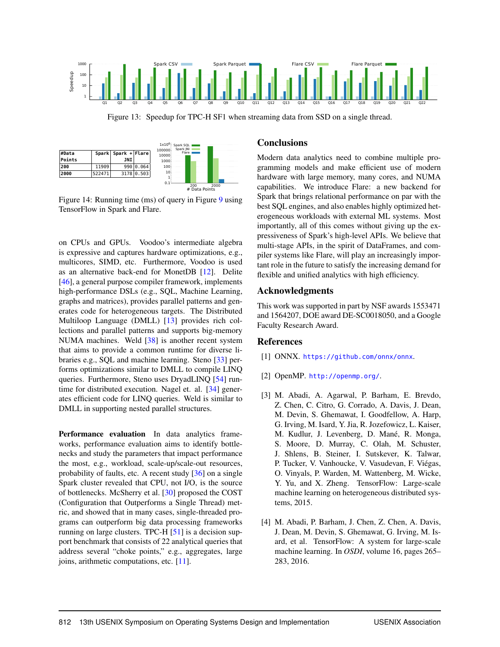

<span id="page-14-5"></span>Figure 13: Speedup for TPC-H SF1 when streaming data from SSD on a single thread.

|        |        |                     |            | 100000 | $1 \times 10^{6}$ Spark SQL F<br>Spark JNI |
|--------|--------|---------------------|------------|--------|--------------------------------------------|
| #Data  |        | Spark Spark + Flare |            | 10000  | Flare I                                    |
| Points |        | JNI                 |            | 1000   |                                            |
| 200    | 11909  |                     | 990 0.064  | 100    |                                            |
| 2000   | 522471 |                     | 3178 0.503 | 10     |                                            |
|        |        |                     |            | 0.1    | 200<br>2000<br># Data Points               |

<span id="page-14-6"></span>Figure 14: Running time (ms) of query in Figure [9](#page-10-1) using TensorFlow in Spark and Flare.

on CPUs and GPUs. Voodoo's intermediate algebra is expressive and captures hardware optimizations, e.g., multicores, SIMD, etc. Furthermore, Voodoo is used as an alternative back-end for MonetDB [\[12\]](#page-15-20). Delite [\[46\]](#page-16-18), a general purpose compiler framework, implements high-performance DSLs (e.g., SQL, Machine Learning, graphs and matrices), provides parallel patterns and generates code for heterogeneous targets. The Distributed Multiloop Language (DMLL) [\[13\]](#page-15-21) provides rich collections and parallel patterns and supports big-memory NUMA machines. Weld [\[38\]](#page-16-19) is another recent system that aims to provide a common runtime for diverse libraries e.g., SQL and machine learning. Steno [\[33\]](#page-16-20) performs optimizations similar to DMLL to compile LINQ queries. Furthermore, Steno uses DryadLINQ [\[54\]](#page-17-5) runtime for distributed execution. Nagel et. al. [\[34\]](#page-16-21) generates efficient code for LINQ queries. Weld is similar to DMLL in supporting nested parallel structures.

Performance evaluation In data analytics frameworks, performance evaluation aims to identify bottlenecks and study the parameters that impact performance the most, e.g., workload, scale-up/scale-out resources, probability of faults, etc. A recent study [\[36\]](#page-16-22) on a single Spark cluster revealed that CPU, not I/O, is the source of bottlenecks. McSherry et al. [\[30\]](#page-16-4) proposed the COST (Configuration that Outperforms a Single Thread) metric, and showed that in many cases, single-threaded programs can outperform big data processing frameworks running on large clusters. TPC-H [\[51\]](#page-17-2) is a decision support benchmark that consists of 22 analytical queries that address several "choke points," e.g., aggregates, large joins, arithmetic computations, etc. [\[11\]](#page-15-22).

#### <span id="page-14-2"></span>**Conclusions**

Modern data analytics need to combine multiple programming models and make efficient use of modern hardware with large memory, many cores, and NUMA capabilities. We introduce Flare: a new backend for Spark that brings relational performance on par with the best SQL engines, and also enables highly optimized heterogeneous workloads with external ML systems. Most importantly, all of this comes without giving up the expressiveness of Spark's high-level APIs. We believe that multi-stage APIs, in the spirit of DataFrames, and compiler systems like Flare, will play an increasingly important role in the future to satisfy the increasing demand for flexible and unified analytics with high efficiency.

#### Acknowledgments

This work was supported in part by NSF awards 1553471 and 1564207, DOE award DE-SC0018050, and a Google Faculty Research Award.

#### References

- <span id="page-14-1"></span>[1] ONNX. <https://github.com/onnx/onnx>.
- <span id="page-14-3"></span>[2] OpenMP. <http://openmp.org/>.
- <span id="page-14-0"></span>[3] M. Abadi, A. Agarwal, P. Barham, E. Brevdo, Z. Chen, C. Citro, G. Corrado, A. Davis, J. Dean, M. Devin, S. Ghemawat, I. Goodfellow, A. Harp, G. Irving, M. Isard, Y. Jia, R. Jozefowicz, L. Kaiser, M. Kudlur, J. Levenberg, D. Mané, R. Monga, S. Moore, D. Murray, C. Olah, M. Schuster, J. Shlens, B. Steiner, I. Sutskever, K. Talwar, P. Tucker, V. Vanhoucke, V. Vasudevan, F. Viégas, O. Vinyals, P. Warden, M. Wattenberg, M. Wicke, Y. Yu, and X. Zheng. TensorFlow: Large-scale machine learning on heterogeneous distributed systems, 2015.
- <span id="page-14-4"></span>[4] M. Abadi, P. Barham, J. Chen, Z. Chen, A. Davis, J. Dean, M. Devin, S. Ghemawat, G. Irving, M. Isard, et al. TensorFlow: A system for large-scale machine learning. In *OSDI*, volume 16, pages 265– 283, 2016.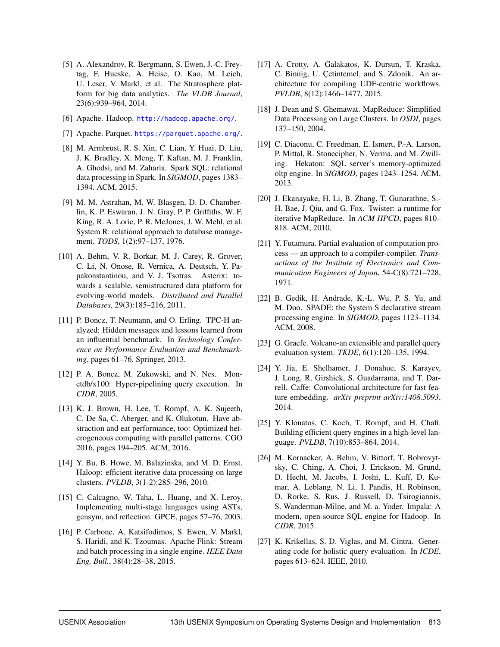- <span id="page-15-15"></span>[5] A. Alexandrov, R. Bergmann, S. Ewen, J.-C. Freytag, F. Hueske, A. Heise, O. Kao, M. Leich, U. Leser, V. Markl, et al. The Stratosphere platform for big data analytics. *The VLDB Journal*, 23(6):939–964, 2014.
- <span id="page-15-10"></span>[6] Apache. Hadoop. <http://hadoop.apache.org/>.
- <span id="page-15-4"></span>[7] Apache. Parquet. <https://parquet.apache.org/>.
- <span id="page-15-0"></span>[8] M. Armbrust, R. S. Xin, C. Lian, Y. Huai, D. Liu, J. K. Bradley, X. Meng, T. Kaftan, M. J. Franklin, A. Ghodsi, and M. Zaharia. Spark SQL: relational data processing in Spark. In *SIGMOD*, pages 1383– 1394. ACM, 2015.
- <span id="page-15-16"></span>[9] M. M. Astrahan, M. W. Blasgen, D. D. Chamberlin, K. P. Eswaran, J. N. Gray, P. P. Griffiths, W. F. King, R. A. Lorie, P. R. McJones, J. W. Mehl, et al. System R: relational approach to database management. *TODS*, 1(2):97–137, 1976.
- <span id="page-15-14"></span>[10] A. Behm, V. R. Borkar, M. J. Carey, R. Grover, C. Li, N. Onose, R. Vernica, A. Deutsch, Y. Papakonstantinou, and V. J. Tsotras. Asterix: towards a scalable, semistructured data platform for evolving-world models. *Distributed and Parallel Databases*, 29(3):185–216, 2011.
- <span id="page-15-22"></span>[11] P. Boncz, T. Neumann, and O. Erling. TPC-H analyzed: Hidden messages and lessons learned from an influential benchmark. In *Technology Conference on Performance Evaluation and Benchmarking*, pages 61–76. Springer, 2013.
- <span id="page-15-20"></span>[12] P. A. Boncz, M. Zukowski, and N. Nes. Monetdb/x100: Hyper-pipelining query execution. In *CIDR*, 2005.
- <span id="page-15-21"></span>[13] K. J. Brown, H. Lee, T. Rompf, A. K. Sujeeth, C. De Sa, C. Aberger, and K. Olukotun. Have abstraction and eat performance, too: Optimized heterogeneous computing with parallel patterns. CGO 2016, pages 194–205. ACM, 2016.
- <span id="page-15-12"></span>[14] Y. Bu, B. Howe, M. Balazinska, and M. D. Ernst. Haloop: efficient iterative data processing on large clusters. *PVLDB*, 3(1-2):285–296, 2010.
- <span id="page-15-5"></span>[15] C. Calcagno, W. Taha, L. Huang, and X. Leroy. Implementing multi-stage languages using ASTs, gensym, and reflection. GPCE, pages 57–76, 2003.
- <span id="page-15-3"></span>[16] P. Carbone, A. Katsifodimos, S. Ewen, V. Markl, S. Haridi, and K. Tzoumas. Apache Flink: Stream and batch processing in a single engine. *IEEE Data Eng. Bull.*, 38(4):28–38, 2015.
- <span id="page-15-1"></span>[17] A. Crotty, A. Galakatos, K. Dursun, T. Kraska, C. Binnig, U. Çetintemel, and S. Zdonik. An architecture for compiling UDF-centric workflows. *PVLDB*, 8(12):1466–1477, 2015.
- <span id="page-15-9"></span>[18] J. Dean and S. Ghemawat. MapReduce: Simplified Data Processing on Large Clusters. In *OSDI*, pages 137–150, 2004.
- <span id="page-15-19"></span>[19] C. Diaconu, C. Freedman, E. Ismert, P.-A. Larson, P. Mittal, R. Stonecipher, N. Verma, and M. Zwilling. Hekaton: SQL server's memory-optimized oltp engine. In *SIGMOD*, pages 1243–1254. ACM, 2013.
- <span id="page-15-11"></span>[20] J. Ekanayake, H. Li, B. Zhang, T. Gunarathne, S.- H. Bae, J. Qiu, and G. Fox. Twister: a runtime for iterative MapReduce. In *ACM HPCD*, pages 810– 818. ACM, 2010.
- <span id="page-15-7"></span>[21] Y. Futamura. Partial evaluation of computation process — an approach to a compiler-compiler. *Transactions of the Institute of Electronics and Communication Engineers of Japan*, 54-C(8):721–728, 1971.
- <span id="page-15-17"></span>[22] B. Gedik, H. Andrade, K.-L. Wu, P. S. Yu, and M. Doo. SPADE: the System S declarative stream processing engine. In *SIGMOD*, pages 1123–1134. ACM, 2008.
- <span id="page-15-8"></span>[23] G. Graefe. Volcano-an extensible and parallel query evaluation system. *TKDE*, 6(1):120–135, 1994.
- <span id="page-15-2"></span>[24] Y. Jia, E. Shelhamer, J. Donahue, S. Karayev, J. Long, R. Girshick, S. Guadarrama, and T. Darrell. Caffe: Convolutional architecture for fast feature embedding. *arXiv preprint arXiv:1408.5093*, 2014.
- <span id="page-15-6"></span>[25] Y. Klonatos, C. Koch, T. Rompf, and H. Chafi. Building efficient query engines in a high-level language. *PVLDB*, 7(10):853–864, 2014.
- <span id="page-15-13"></span>[26] M. Kornacker, A. Behm, V. Bittorf, T. Bobrovytsky, C. Ching, A. Choi, J. Erickson, M. Grund, D. Hecht, M. Jacobs, I. Joshi, L. Kuff, D. Kumar, A. Leblang, N. Li, I. Pandis, H. Robinson, D. Rorke, S. Rus, J. Russell, D. Tsirogiannis, S. Wanderman-Milne, and M. a. Yoder. Impala: A modern, open-source SQL engine for Hadoop. In *CIDR*, 2015.
- <span id="page-15-18"></span>[27] K. Krikellas, S. D. Viglas, and M. Cintra. Generating code for holistic query evaluation. In *ICDE*, pages 613–624. IEEE, 2010.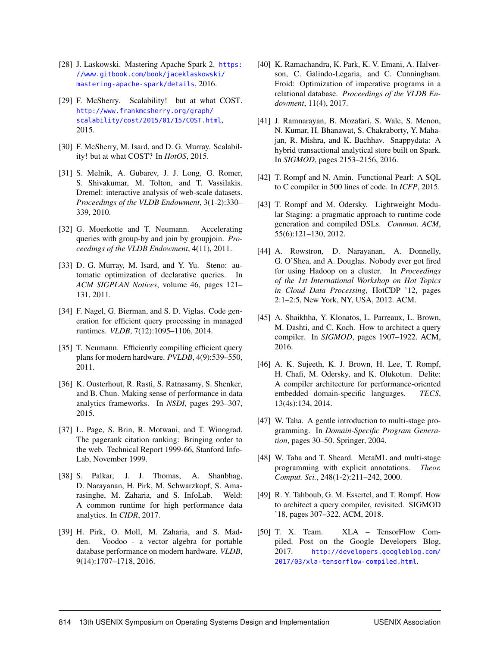- <span id="page-16-3"></span>[28] J. Laskowski. Mastering Apache Spark 2. [https:](https://www.gitbook.com/book/jaceklaskowski/mastering-apache-spark/details) [//www.gitbook.com/book/jaceklaskowski/](https://www.gitbook.com/book/jaceklaskowski/mastering-apache-spark/details) [mastering-apache-spark/details](https://www.gitbook.com/book/jaceklaskowski/mastering-apache-spark/details), 2016.
- <span id="page-16-5"></span>[29] F. McSherry. Scalability! but at what COST. [http://www.frankmcsherry.org/graph/](http://www.frankmcsherry.org/graph/scalability/cost/2015/01/15/COST.html) [scalability/cost/2015/01/15/COST.html](http://www.frankmcsherry.org/graph/scalability/cost/2015/01/15/COST.html), 2015.
- <span id="page-16-4"></span>[30] F. McSherry, M. Isard, and D. G. Murray. Scalability! but at what COST? In *HotOS*, 2015.
- <span id="page-16-11"></span>[31] S. Melnik, A. Gubarev, J. J. Long, G. Romer, S. Shivakumar, M. Tolton, and T. Vassilakis. Dremel: interactive analysis of web-scale datasets. *Proceedings of the VLDB Endowment*, 3(1-2):330– 339, 2010.
- <span id="page-16-14"></span>[32] G. Moerkotte and T. Neumann. Accelerating queries with group-by and join by groupjoin. *Proceedings of the VLDB Endowment*, 4(11), 2011.
- <span id="page-16-20"></span>[33] D. G. Murray, M. Isard, and Y. Yu. Steno: automatic optimization of declarative queries. In *ACM SIGPLAN Notices*, volume 46, pages 121– 131, 2011.
- <span id="page-16-21"></span>[34] F. Nagel, G. Bierman, and S. D. Viglas. Code generation for efficient query processing in managed runtimes. *VLDB*, 7(12):1095–1106, 2014.
- <span id="page-16-1"></span>[35] T. Neumann. Efficiently compiling efficient query plans for modern hardware. *PVLDB*, 4(9):539–550, 2011.
- <span id="page-16-22"></span>[36] K. Ousterhout, R. Rasti, S. Ratnasamy, S. Shenker, and B. Chun. Making sense of performance in data analytics frameworks. In *NSDI*, pages 293–307, 2015.
- <span id="page-16-6"></span>[37] L. Page, S. Brin, R. Motwani, and T. Winograd. The pagerank citation ranking: Bringing order to the web. Technical Report 1999-66, Stanford Info-Lab, November 1999.
- <span id="page-16-19"></span>[38] S. Palkar, J. J. Thomas, A. Shanbhag, D. Narayanan, H. Pirk, M. Schwarzkopf, S. Amarasinghe, M. Zaharia, and S. InfoLab. Weld: A common runtime for high performance data analytics. In *CIDR*, 2017.
- <span id="page-16-17"></span>[39] H. Pirk, O. Moll, M. Zaharia, and S. Madden. Voodoo - a vector algebra for portable database performance on modern hardware. *VLDB*, 9(14):1707–1718, 2016.
- <span id="page-16-2"></span>[40] K. Ramachandra, K. Park, K. V. Emani, A. Halverson, C. Galindo-Legaria, and C. Cunningham. Froid: Optimization of imperative programs in a relational database. *Proceedings of the VLDB Endowment*, 11(4), 2017.
- <span id="page-16-15"></span>[41] J. Ramnarayan, B. Mozafari, S. Wale, S. Menon, N. Kumar, H. Bhanawat, S. Chakraborty, Y. Mahajan, R. Mishra, and K. Bachhav. Snappydata: A hybrid transactional analytical store built on Spark. In *SIGMOD*, pages 2153–2156, 2016.
- <span id="page-16-10"></span>[42] T. Rompf and N. Amin. Functional Pearl: A SQL to C compiler in 500 lines of code. In *ICFP*, 2015.
- <span id="page-16-9"></span>[43] T. Rompf and M. Odersky. Lightweight Modular Staging: a pragmatic approach to runtime code generation and compiled DSLs. *Commun. ACM*, 55(6):121–130, 2012.
- <span id="page-16-0"></span>[44] A. Rowstron, D. Narayanan, A. Donnelly, G. O'Shea, and A. Douglas. Nobody ever got fired for using Hadoop on a cluster. In *Proceedings of the 1st International Workshop on Hot Topics in Cloud Data Processing*, HotCDP '12, pages 2:1–2:5, New York, NY, USA, 2012. ACM.
- <span id="page-16-16"></span>[45] A. Shaikhha, Y. Klonatos, L. Parreaux, L. Brown, M. Dashti, and C. Koch. How to architect a query compiler. In *SIGMOD*, pages 1907–1922. ACM, 2016.
- <span id="page-16-18"></span>[46] A. K. Sujeeth, K. J. Brown, H. Lee, T. Rompf, H. Chafi, M. Odersky, and K. Olukotun. Delite: A compiler architecture for performance-oriented embedded domain-specific languages. *TECS*, 13(4s):134, 2014.
- <span id="page-16-7"></span>[47] W. Taha. A gentle introduction to multi-stage programming. In *Domain-Specific Program Generation*, pages 30–50. Springer, 2004.
- <span id="page-16-8"></span>[48] W. Taha and T. Sheard. MetaML and multi-stage programming with explicit annotations. *Theor. Comput. Sci.*, 248(1-2):211–242, 2000.
- <span id="page-16-12"></span>[49] R. Y. Tahboub, G. M. Essertel, and T. Rompf. How to architect a query compiler, revisited. SIGMOD '18, pages 307–322. ACM, 2018.
- <span id="page-16-13"></span>[50] T. X. Team. XLA – TensorFlow Compiled. Post on the Google Developers Blog, 2017. [http://developers.googleblog.com/](http://developers.googleblog.com/2017/03/xla-tensorflow-compiled.html) [2017/03/xla-tensorflow-compiled.html](http://developers.googleblog.com/2017/03/xla-tensorflow-compiled.html).